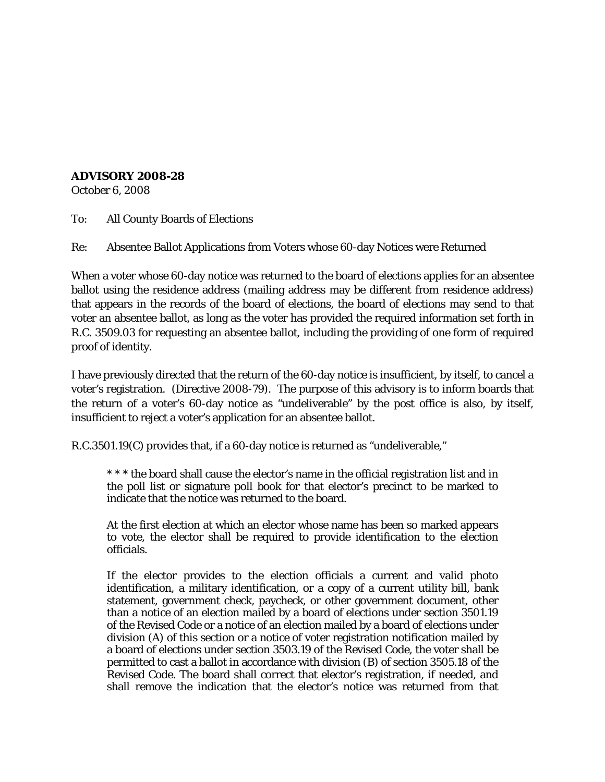## **ADVISORY 2008-28**

October 6, 2008

To: All County Boards of Elections

Re: Absentee Ballot Applications from Voters whose 60-day Notices were Returned

When a voter whose 60-day notice was returned to the board of elections applies for an absentee ballot using the residence address (mailing address may be different from residence address) that appears in the records of the board of elections, the board of elections may send to that voter an absentee ballot, as long as the voter has provided the required information set forth in R.C. 3509.03 for requesting an absentee ballot, including the providing of one form of required proof of identity.

I have previously directed that the return of the 60-day notice is insufficient, by itself, to cancel a voter's registration. (Directive 2008-79). The purpose of this advisory is to inform boards that the return of a voter's 60-day notice as "undeliverable" by the post office is also, by itself, insufficient to reject a voter's application for an absentee ballot.

R.C.3501.19(C) provides that, if a 60-day notice is returned as "undeliverable,"

\* \* \* the board shall cause the elector's name in the official registration list and in the poll list or signature poll book for that elector's precinct to be marked to indicate that the notice was returned to the board.

At the first election at which an elector whose name has been so marked appears to vote, the elector shall be required to provide identification to the election officials.

If the elector provides to the election officials a current and valid photo identification, a military identification, or a copy of a current utility bill, bank statement, government check, paycheck, or other government document, other than a notice of an election mailed by a board of elections under section 3501.19 of the Revised Code or a notice of an election mailed by a board of elections under division (A) of this section or a notice of voter registration notification mailed by a board of elections under section 3503.19 of the Revised Code, the voter shall be permitted to cast a ballot in accordance with division (B) of section 3505.18 of the Revised Code. The board shall correct that elector's registration, if needed, and shall remove the indication that the elector's notice was returned from that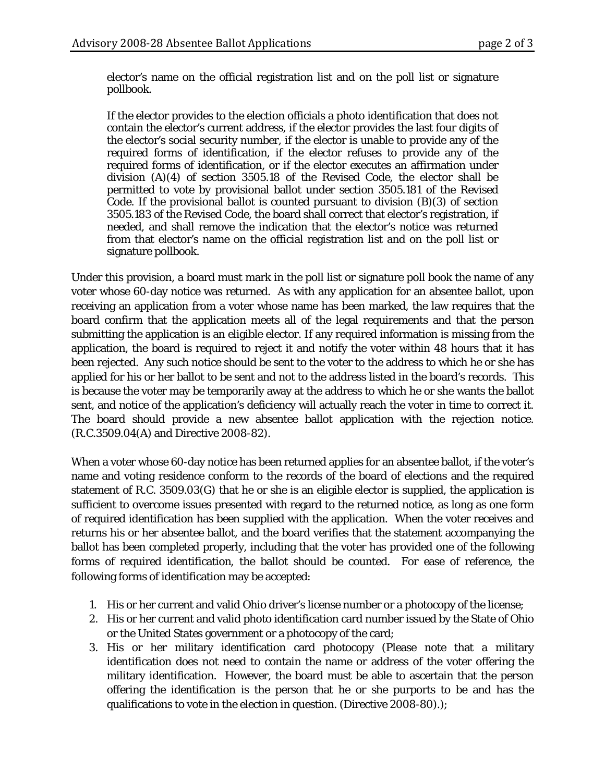elector's name on the official registration list and on the poll list or signature pollbook.

If the elector provides to the election officials a photo identification that does not contain the elector's current address, if the elector provides the last four digits of the elector's social security number, if the elector is unable to provide any of the required forms of identification, if the elector refuses to provide any of the required forms of identification, or if the elector executes an affirmation under division  $(A)(4)$  of section 3505.18 of the Revised Code, the elector shall be permitted to vote by provisional ballot under section 3505.181 of the Revised Code. If the provisional ballot is counted pursuant to division (B)(3) of section 3505.183 of the Revised Code, the board shall correct that elector's registration, if needed, and shall remove the indication that the elector's notice was returned from that elector's name on the official registration list and on the poll list or signature pollbook.

Under this provision, a board must mark in the poll list or signature poll book the name of any voter whose 60-day notice was returned. As with any application for an absentee ballot, upon receiving an application from a voter whose name has been marked, the law requires that the board confirm that the application meets all of the legal requirements and that the person submitting the application is an eligible elector. If any required information is missing from the application, the board is required to reject it and notify the voter within 48 hours that it has been rejected. Any such notice should be sent to the voter to the address to which he or she has applied for his or her ballot to be sent and not to the address listed in the board's records. This is because the voter may be temporarily away at the address to which he or she wants the ballot sent, and notice of the application's deficiency will actually reach the voter in time to correct it. The board should provide a new absentee ballot application with the rejection notice. (R.C.3509.04(A) and Directive 2008-82).

When a voter whose 60-day notice has been returned applies for an absentee ballot, if the voter's name and voting residence conform to the records of the board of elections and the required statement of R.C. 3509.03(G) that he or she is an eligible elector is supplied, the application is sufficient to overcome issues presented with regard to the returned notice, as long as one form of required identification has been supplied with the application. When the voter receives and returns his or her absentee ballot, and the board verifies that the statement accompanying the ballot has been completed properly, including that the voter has provided one of the following forms of required identification, the ballot should be counted. For ease of reference, the following forms of identification may be accepted:

- 1. His or her current and valid Ohio driver's license number or a photocopy of the license;
- 2. His or her current and valid photo identification card number issued by the State of Ohio or the United States government or a photocopy of the card;
- 3. His or her military identification card photocopy (Please note that a military identification does not need to contain the name or address of the voter offering the military identification. However, the board must be able to ascertain that the person offering the identification is the person that he or she purports to be and has the qualifications to vote in the election in question. (Directive 2008-80).);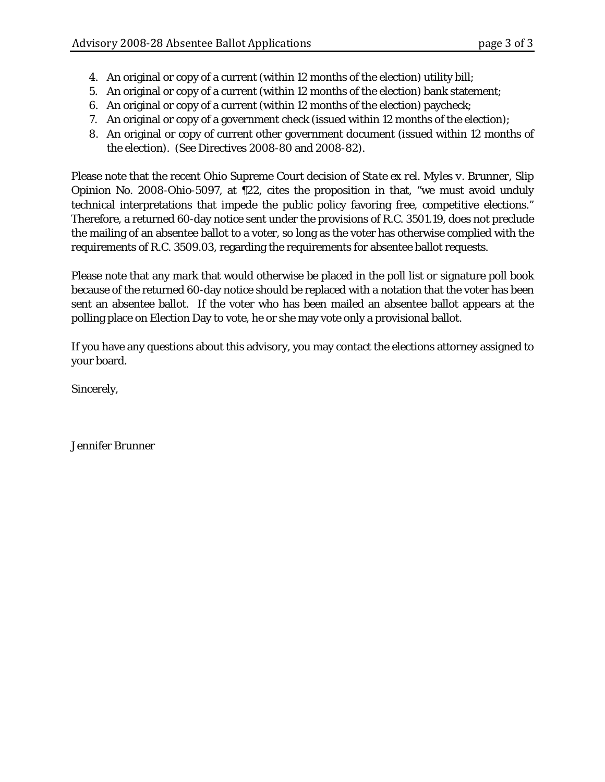- 4. An original or copy of a current (within 12 months of the election) utility bill;
- 5. An original or copy of a current (within 12 months of the election) bank statement;
- 6. An original or copy of a current (within 12 months of the election) paycheck;
- 7. An original or copy of a government check (issued within 12 months of the election);
- 8. An original or copy of current other government document (issued within 12 months of the election). (See Directives 2008-80 and 2008-82).

Please note that the recent Ohio Supreme Court decision of *State ex rel. Myles v. Brunner*, Slip Opinion No. 2008-Ohio-5097, at ¶22, cites the proposition in that, "we must avoid unduly technical interpretations that impede the public policy favoring free, competitive elections." Therefore, a returned 60-day notice sent under the provisions of R.C. 3501.19, does not preclude the mailing of an absentee ballot to a voter, so long as the voter has otherwise complied with the requirements of R.C. 3509.03, regarding the requirements for absentee ballot requests.

Please note that any mark that would otherwise be placed in the poll list or signature poll book because of the returned 60-day notice should be replaced with a notation that the voter has been sent an absentee ballot. If the voter who has been mailed an absentee ballot appears at the polling place on Election Day to vote, he or she may vote only a provisional ballot.

If you have any questions about this advisory, you may contact the elections attorney assigned to your board.

Sincerely,

Jennifer Brunner